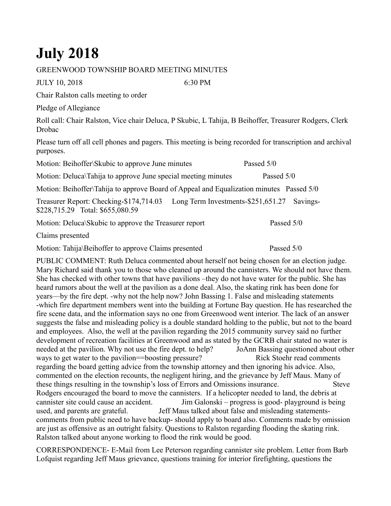## **July 2018**

## GREENWOOD TOWNSHIP BOARD MEETING MINUTES

JULY 10, 2018 6:30 PM

Chair Ralston calls meeting to order

Pledge of Allegiance

Roll call: Chair Ralston, Vice chair Deluca, P Skubic, L Tahija, B Beihoffer, Treasurer Rodgers, Clerk Drobac

Please turn off all cell phones and pagers. This meeting is being recorded for transcription and archival purposes.

Motion: Beihoffer\Skubic to approve June minutes Passed 5/0 Motion: Deluca\Tahija to approve June special meeting minutes Passed 5/0 Motion: Beihoffer\Tahija to approve Board of Appeal and Equalization minutes Passed 5/0 Treasurer Report: Checking-\$174,714.03 Long Term Investments-\$251,651.27 Savings- \$228,715.29 Total: \$655,080.59 Motion: Deluca\Skubic to approve the Treasurer report Passed 5/0

Claims presented

Motion: Tahija\Beihoffer to approve Claims presented Passed 5/0

PUBLIC COMMENT: Ruth Deluca commented about herself not being chosen for an election judge. Mary Richard said thank you to those who cleaned up around the cannisters. We should not have them. She has checked with other towns that have pavilions –they do not have water for the public. She has heard rumors about the well at the pavilion as a done deal. Also, the skating rink has been done for years—by the fire dept. -why not the help now? John Bassing 1. False and misleading statements -which fire department members went into the building at Fortune Bay question. He has researched the fire scene data, and the information says no one from Greenwood went interior. The lack of an answer suggests the false and misleading policy is a double standard holding to the public, but not to the board and employees. Also, the well at the pavilion regarding the 2015 community survey said no further development of recreation facilities at Greenwood and as stated by the GCRB chair stated no water is needed at the pavilion. Why not use the fire dept. to help? JoAnn Bassing questioned about other ways to get water to the pavilion==boosting pressure? Rick Stoehr read comments regarding the board getting advice from the township attorney and then ignoring his advice. Also, commented on the election recounts, the negligent hiring, and the grievance by Jeff Maus. Many of these things resulting in the township's loss of Errors and Omissions insurance. Steve Rodgers encouraged the board to move the cannisters. If a helicopter needed to land, the debris at cannister site could cause an accident. Jim Galonski – progress is good- playground is being used, and parents are grateful. Jeff Maus talked about false and misleading statementscomments from public need to have backup- should apply to board also. Comments made by omission are just as offensive as an outright falsity. Questions to Ralston regarding flooding the skating rink. Ralston talked about anyone working to flood the rink would be good.

CORRESPONDENCE- E-Mail from Lee Peterson regarding cannister site problem. Letter from Barb Lofquist regarding Jeff Maus grievance, questions training for interior firefighting, questions the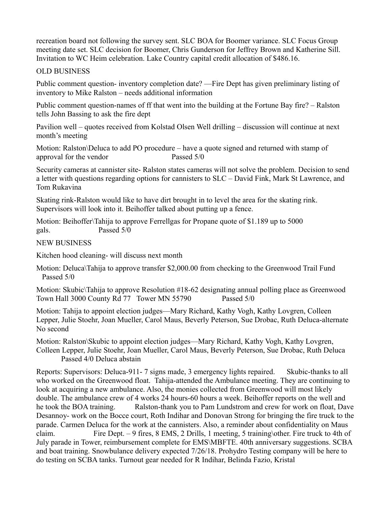recreation board not following the survey sent. SLC BOA for Boomer variance. SLC Focus Group meeting date set. SLC decision for Boomer, Chris Gunderson for Jeffrey Brown and Katherine Sill. Invitation to WC Heim celebration. Lake Country capital credit allocation of \$486.16.

## OLD BUSINESS

Public comment question- inventory completion date? —Fire Dept has given preliminary listing of inventory to Mike Ralston – needs additional information

Public comment question-names of ff that went into the building at the Fortune Bay fire? – Ralston tells John Bassing to ask the fire dept

Pavilion well – quotes received from Kolstad Olsen Well drilling – discussion will continue at next month's meeting

Motion: Ralston\Deluca to add PO procedure – have a quote signed and returned with stamp of approval for the vendor Passed 5/0

Security cameras at cannister site- Ralston states cameras will not solve the problem. Decision to send a letter with questions regarding options for cannisters to SLC – David Fink, Mark St Lawrence, and Tom Rukavina

Skating rink-Ralston would like to have dirt brought in to level the area for the skating rink. Supervisors will look into it. Beihoffer talked about putting up a fence.

Motion: Beihoffer\Tahija to approve Ferrellgas for Propane quote of \$1.189 up to 5000 gals. Passed 5/0

## NEW BUSINESS

Kitchen hood cleaning- will discuss next month

Motion: Deluca\Tahija to approve transfer \$2,000.00 from checking to the Greenwood Trail Fund Passed 5/0

Motion: Skubic\Tahija to approve Resolution #18-62 designating annual polling place as Greenwood Town Hall 3000 County Rd 77 Tower MN 55790 Passed 5/0

Motion: Tahija to appoint election judges—Mary Richard, Kathy Vogh, Kathy Lovgren, Colleen Lepper, Julie Stoehr, Joan Mueller, Carol Maus, Beverly Peterson, Sue Drobac, Ruth Deluca-alternate No second

Motion: Ralston\Skubic to appoint election judges—Mary Richard, Kathy Vogh, Kathy Lovgren, Colleen Lepper, Julie Stoehr, Joan Mueller, Carol Maus, Beverly Peterson, Sue Drobac, Ruth Deluca Passed 4/0 Deluca abstain

Reports: Supervisors: Deluca-911- 7 signs made, 3 emergency lights repaired. Skubic-thanks to all who worked on the Greenwood float. Tahija-attended the Ambulance meeting. They are continuing to look at acquiring a new ambulance. Also, the monies collected from Greenwood will most likely double. The ambulance crew of 4 works 24 hours-60 hours a week. Beihoffer reports on the well and he took the BOA training. Ralston-thank you to Pam Lundstrom and crew for work on float, Dave Desannoy- work on the Bocce court, Roth Indihar and Donovan Strong for bringing the fire truck to the parade. Carmen Deluca for the work at the cannisters. Also, a reminder about confidentiality on Maus claim. Fire Dept. – 9 fires, 8 EMS, 2 Drills, 1 meeting, 5 training\other. Fire truck to 4th of July parade in Tower, reimbursement complete for EMS\MBFTE. 40th anniversary suggestions. SCBA and boat training. Snowbulance delivery expected 7/26/18. Prohydro Testing company will be here to do testing on SCBA tanks. Turnout gear needed for R Indihar, Belinda Fazio, Kristal